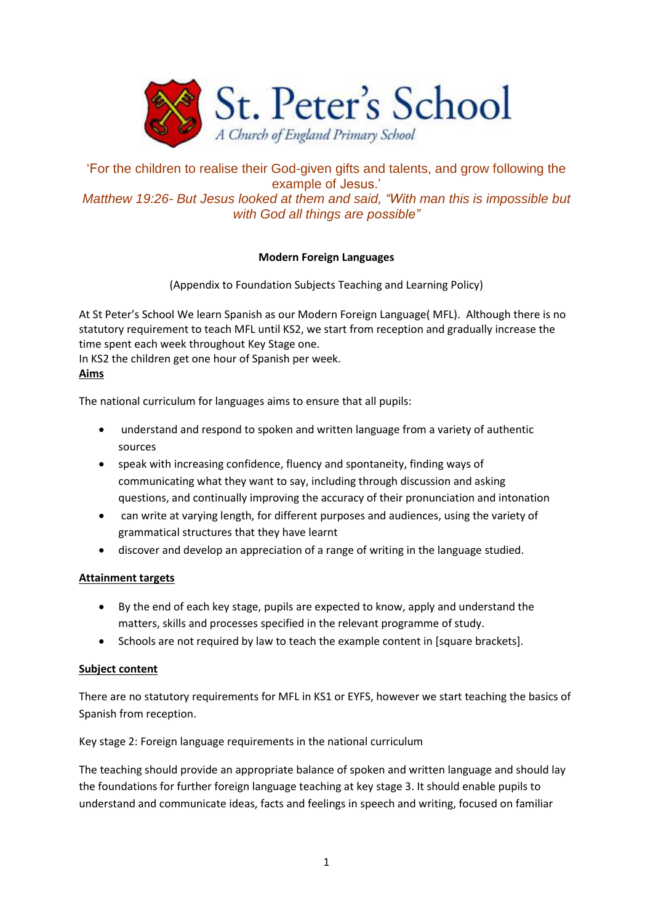

'For the children to realise their God-given gifts and talents, and grow following the example of Jesus.' *Matthew 19:26- But Jesus looked at them and said, "With man this is impossible but with God all things are possible"*

## **Modern Foreign Languages**

(Appendix to Foundation Subjects Teaching and Learning Policy)

At St Peter's School We learn Spanish as our Modern Foreign Language( MFL). Although there is no statutory requirement to teach MFL until KS2, we start from reception and gradually increase the time spent each week throughout Key Stage one.

In KS2 the children get one hour of Spanish per week.

## **Aims**

The national curriculum for languages aims to ensure that all pupils:

- understand and respond to spoken and written language from a variety of authentic sources
- speak with increasing confidence, fluency and spontaneity, finding ways of communicating what they want to say, including through discussion and asking questions, and continually improving the accuracy of their pronunciation and intonation
- can write at varying length, for different purposes and audiences, using the variety of grammatical structures that they have learnt
- discover and develop an appreciation of a range of writing in the language studied.

## **Attainment targets**

- By the end of each key stage, pupils are expected to know, apply and understand the matters, skills and processes specified in the relevant programme of study.
- Schools are not required by law to teach the example content in [square brackets].

## **Subject content**

There are no statutory requirements for MFL in KS1 or EYFS, however we start teaching the basics of Spanish from reception.

Key stage 2: Foreign language requirements in the national curriculum

The teaching should provide an appropriate balance of spoken and written language and should lay the foundations for further foreign language teaching at key stage 3. It should enable pupils to understand and communicate ideas, facts and feelings in speech and writing, focused on familiar